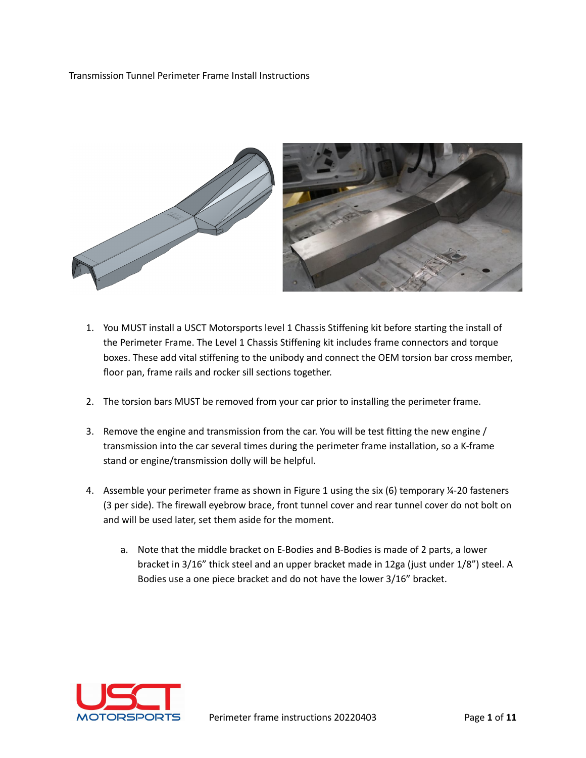#### Transmission Tunnel Perimeter Frame Install Instructions



- 1. You MUST install a USCT Motorsports level 1 Chassis Stiffening kit before starting the install of the Perimeter Frame. The Level 1 Chassis Stiffening kit includes frame connectors and torque boxes. These add vital stiffening to the unibody and connect the OEM torsion bar cross member, floor pan, frame rails and rocker sill sections together.
- 2. The torsion bars MUST be removed from your car prior to installing the perimeter frame.
- 3. Remove the engine and transmission from the car. You will be test fitting the new engine / transmission into the car several times during the perimeter frame installation, so a K-frame stand or engine/transmission dolly will be helpful.
- 4. Assemble your perimeter frame as shown in Figure 1 using the six (6) temporary ¼-20 fasteners (3 per side). The firewall eyebrow brace, front tunnel cover and rear tunnel cover do not bolt on and will be used later, set them aside for the moment.
	- a. Note that the middle bracket on E-Bodies and B-Bodies is made of 2 parts, a lower bracket in 3/16" thick steel and an upper bracket made in 12ga (just under 1/8") steel. A Bodies use a one piece bracket and do not have the lower 3/16" bracket.

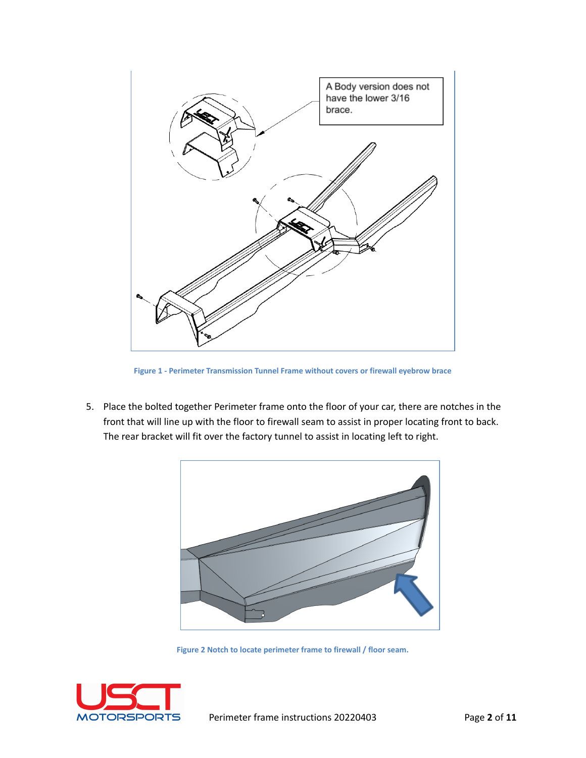

**Figure 1 - Perimeter Transmission Tunnel Frame without covers or firewall eyebrow brace**

5. Place the bolted together Perimeter frame onto the floor of your car, there are notches in the front that will line up with the floor to firewall seam to assist in proper locating front to back. The rear bracket will fit over the factory tunnel to assist in locating left to right.



**Figure 2 Notch to locate perimeter frame to firewall / floor seam.**

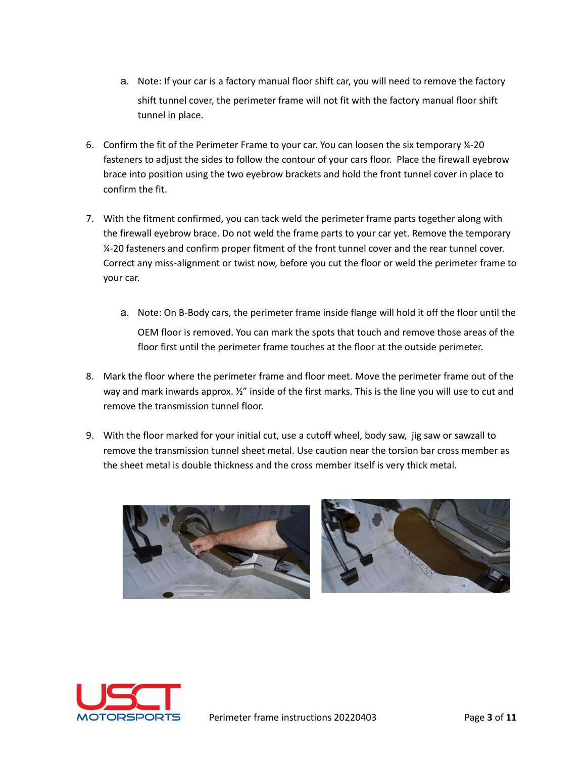- a. Note: If your car is a factory manual floor shift car, you will need to remove the factory shift tunnel cover, the perimeter frame will not fit with the factory manual floor shift tunnel in place.
- 6. Confirm the fit of the Perimeter Frame to your car. You can loosen the six temporary ¼-20 fasteners to adjust the sides to follow the contour of your cars floor. Place the firewall eyebrow brace into position using the two eyebrow brackets and hold the front tunnel cover in place to confirm the fit.
- 7. With the fitment confirmed, you can tack weld the perimeter frame parts together along with the firewall eyebrow brace. Do not weld the frame parts to your car yet. Remove the temporary ¼-20 fasteners and confirm proper fitment of the front tunnel cover and the rear tunnel cover. Correct any miss-alignment or twist now, before you cut the floor or weld the perimeter frame to your car.
	- a. Note: On B-Body cars, the perimeter frame inside flange will hold it off the floor until the OEM floor is removed. You can mark the spots that touch and remove those areas of the floor first until the perimeter frame touches at the floor at the outside perimeter.
- 8. Mark the floor where the perimeter frame and floor meet. Move the perimeter frame out of the way and mark inwards approx.  $\frac{y}{z}$  inside of the first marks. This is the line you will use to cut and remove the transmission tunnel floor.
- 9. With the floor marked for your initial cut, use a cutoff wheel, body saw, jig saw or sawzall to remove the transmission tunnel sheet metal. Use caution near the torsion bar cross member as the sheet metal is double thickness and the cross member itself is very thick metal.



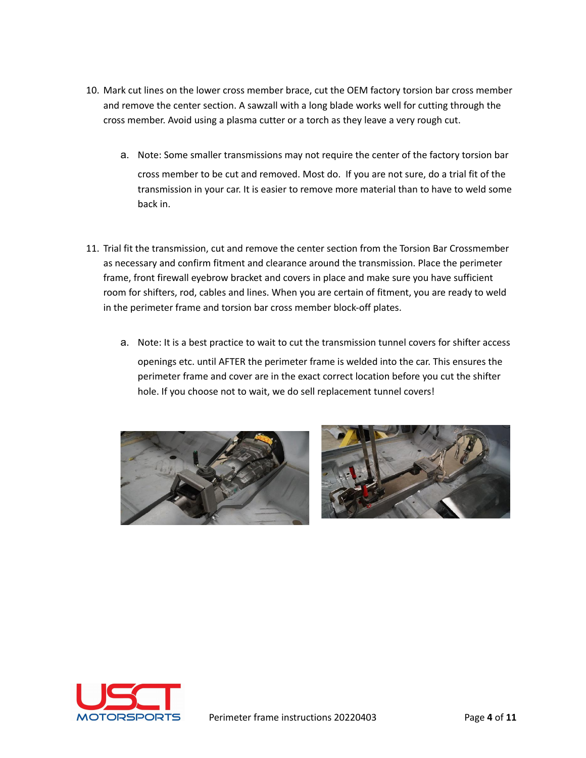- 10. Mark cut lines on the lower cross member brace, cut the OEM factory torsion bar cross member and remove the center section. A sawzall with a long blade works well for cutting through the cross member. Avoid using a plasma cutter or a torch as they leave a very rough cut.
	- a. Note: Some smaller transmissions may not require the center of the factory torsion bar cross member to be cut and removed. Most do. If you are not sure, do a trial fit of the transmission in your car. It is easier to remove more material than to have to weld some back in.
- 11. Trial fit the transmission, cut and remove the center section from the Torsion Bar Crossmember as necessary and confirm fitment and clearance around the transmission. Place the perimeter frame, front firewall eyebrow bracket and covers in place and make sure you have sufficient room for shifters, rod, cables and lines. When you are certain of fitment, you are ready to weld in the perimeter frame and torsion bar cross member block-off plates.
	- a. Note: It is a best practice to wait to cut the transmission tunnel covers for shifter access openings etc. until AFTER the perimeter frame is welded into the car. This ensures the perimeter frame and cover are in the exact correct location before you cut the shifter hole. If you choose not to wait, we do sell replacement tunnel covers!





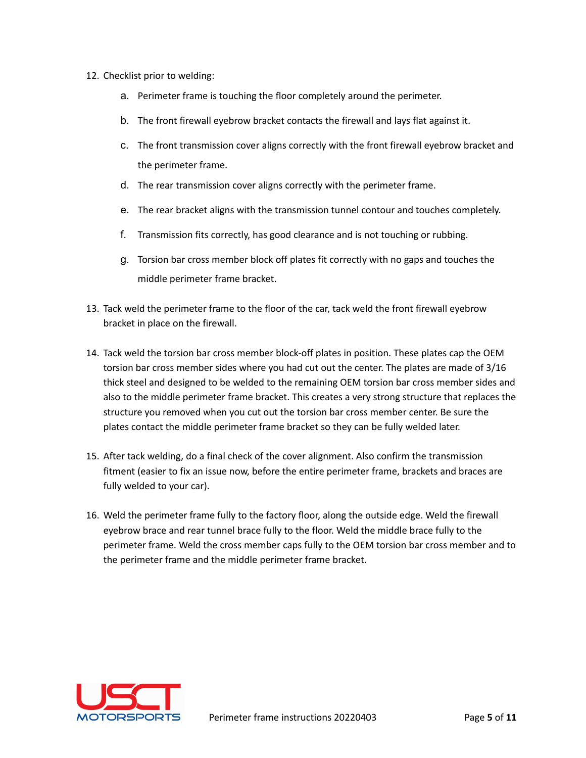- 12. Checklist prior to welding:
	- a. Perimeter frame is touching the floor completely around the perimeter.
	- b. The front firewall eyebrow bracket contacts the firewall and lays flat against it.
	- c. The front transmission cover aligns correctly with the front firewall eyebrow bracket and the perimeter frame.
	- d. The rear transmission cover aligns correctly with the perimeter frame.
	- e. The rear bracket aligns with the transmission tunnel contour and touches completely.
	- f. Transmission fits correctly, has good clearance and is not touching or rubbing.
	- g. Torsion bar cross member block off plates fit correctly with no gaps and touches the middle perimeter frame bracket.
- 13. Tack weld the perimeter frame to the floor of the car, tack weld the front firewall eyebrow bracket in place on the firewall.
- 14. Tack weld the torsion bar cross member block-off plates in position. These plates cap the OEM torsion bar cross member sides where you had cut out the center. The plates are made of 3/16 thick steel and designed to be welded to the remaining OEM torsion bar cross member sides and also to the middle perimeter frame bracket. This creates a very strong structure that replaces the structure you removed when you cut out the torsion bar cross member center. Be sure the plates contact the middle perimeter frame bracket so they can be fully welded later.
- 15. After tack welding, do a final check of the cover alignment. Also confirm the transmission fitment (easier to fix an issue now, before the entire perimeter frame, brackets and braces are fully welded to your car).
- 16. Weld the perimeter frame fully to the factory floor, along the outside edge. Weld the firewall eyebrow brace and rear tunnel brace fully to the floor. Weld the middle brace fully to the perimeter frame. Weld the cross member caps fully to the OEM torsion bar cross member and to the perimeter frame and the middle perimeter frame bracket.

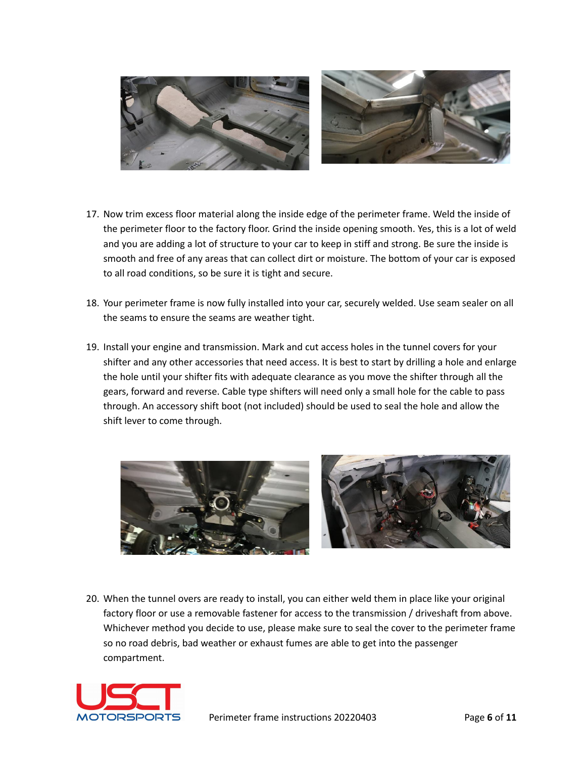

- 17. Now trim excess floor material along the inside edge of the perimeter frame. Weld the inside of the perimeter floor to the factory floor. Grind the inside opening smooth. Yes, this is a lot of weld and you are adding a lot of structure to your car to keep in stiff and strong. Be sure the inside is smooth and free of any areas that can collect dirt or moisture. The bottom of your car is exposed to all road conditions, so be sure it is tight and secure.
- 18. Your perimeter frame is now fully installed into your car, securely welded. Use seam sealer on all the seams to ensure the seams are weather tight.
- 19. Install your engine and transmission. Mark and cut access holes in the tunnel covers for your shifter and any other accessories that need access. It is best to start by drilling a hole and enlarge the hole until your shifter fits with adequate clearance as you move the shifter through all the gears, forward and reverse. Cable type shifters will need only a small hole for the cable to pass through. An accessory shift boot (not included) should be used to seal the hole and allow the shift lever to come through.



20. When the tunnel overs are ready to install, you can either weld them in place like your original factory floor or use a removable fastener for access to the transmission / driveshaft from above. Whichever method you decide to use, please make sure to seal the cover to the perimeter frame so no road debris, bad weather or exhaust fumes are able to get into the passenger compartment.

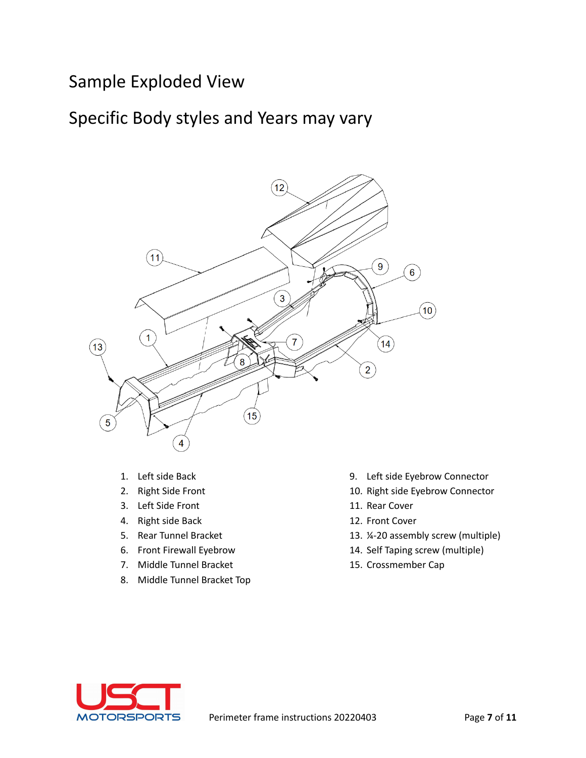#### Sample Exploded View

#### Specific Body styles and Years may vary



- 1. Left side Back
- 2. Right Side Front
- 3. Left Side Front
- 4. Right side Back
- 5. Rear Tunnel Bracket
- 6. Front Firewall Eyebrow
- 7. Middle Tunnel Bracket
- 8. Middle Tunnel Bracket Top
- 9. Left side Eyebrow Connector
- 10. Right side Eyebrow Connector
- 11. Rear Cover
- 12. Front Cover
- 13. ¼-20 assembly screw (multiple)
- 14. Self Taping screw (multiple)
- 15. Crossmember Cap

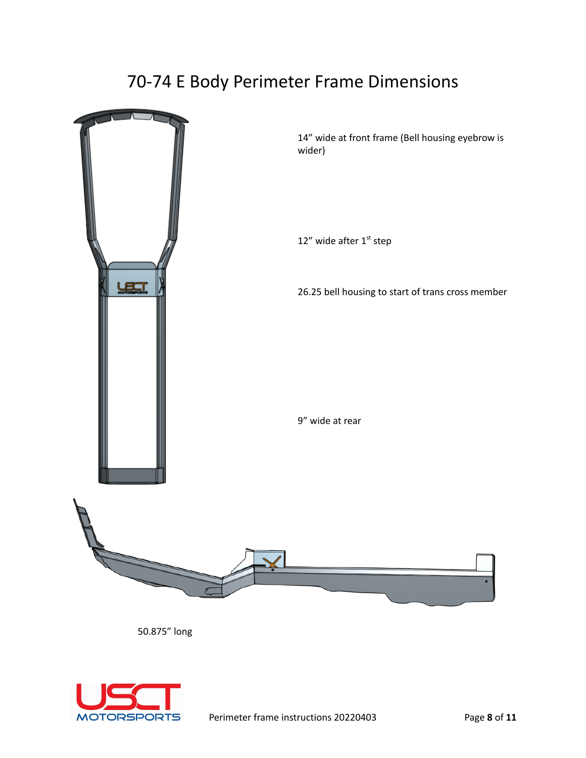## 70-74 E Body Perimeter Frame Dimensions



50.875" long

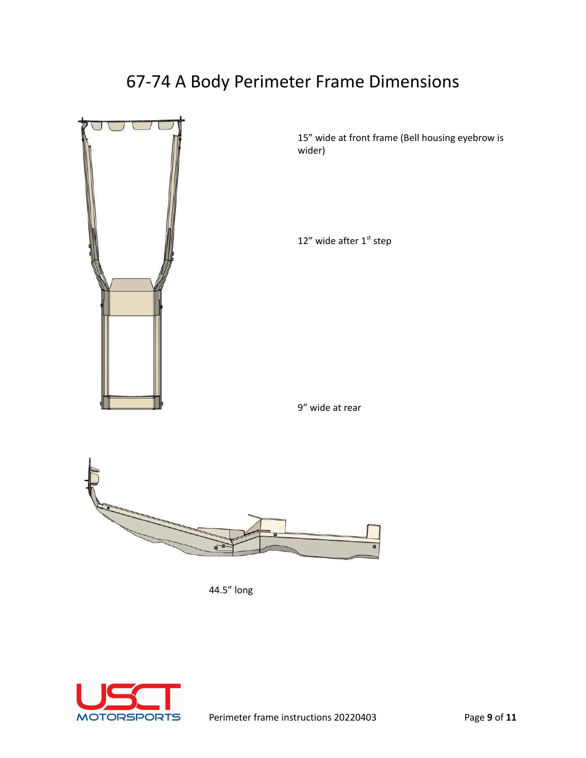# 67-74 A Body Perimeter Frame Dimensions



15" wide at front frame (Bell housing eyebrow is wider)

12" wide after 1<sup>st</sup> step

9" wide at rear



44.5" long

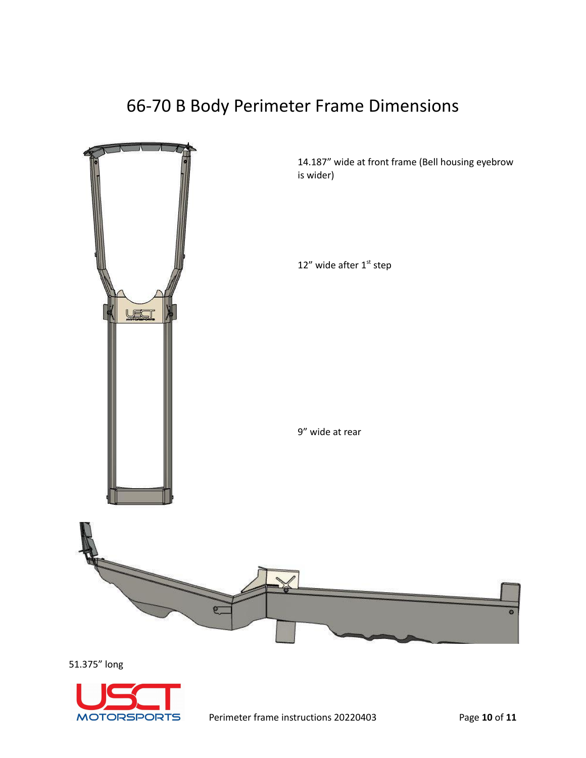## 66-70 B Body Perimeter Frame Dimensions



51.375" long